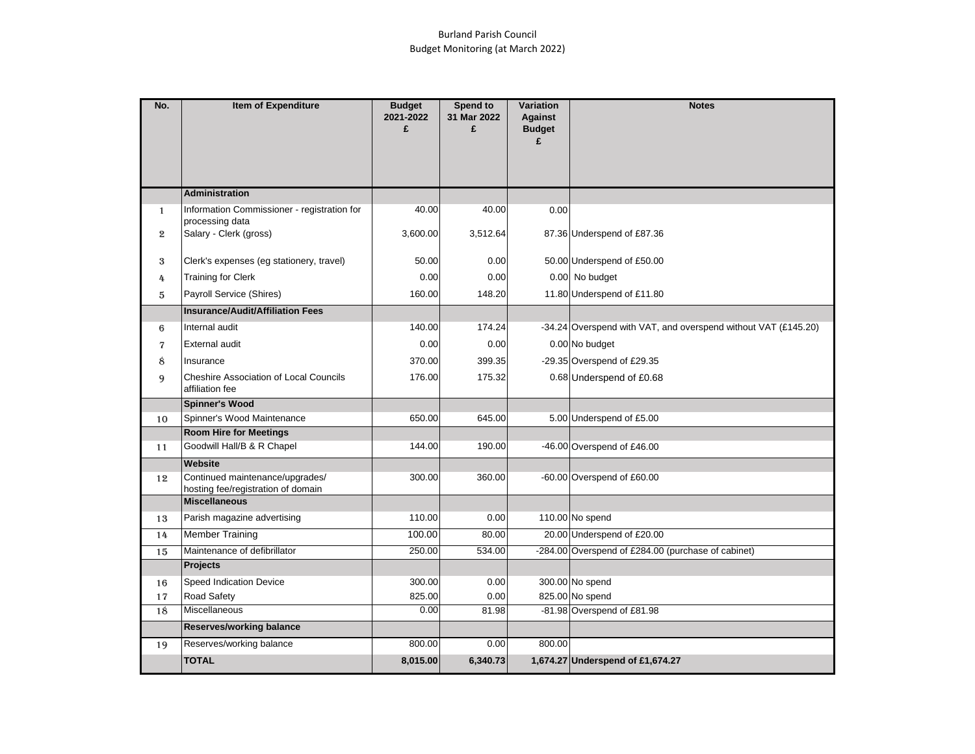## Burland Parish Council Budget Monitoring (at March 2022)

| No.          | Item of Expenditure                                                   | <b>Budget</b><br>2021-2022<br>£ | <b>Spend to</b><br>31 Mar 2022<br>£ | Variation<br><b>Against</b><br><b>Budget</b> | <b>Notes</b>                                                   |
|--------------|-----------------------------------------------------------------------|---------------------------------|-------------------------------------|----------------------------------------------|----------------------------------------------------------------|
|              |                                                                       |                                 |                                     | £                                            |                                                                |
|              |                                                                       |                                 |                                     |                                              |                                                                |
|              |                                                                       |                                 |                                     |                                              |                                                                |
|              | <b>Administration</b>                                                 |                                 |                                     |                                              |                                                                |
| $\mathbf{1}$ | Information Commissioner - registration for                           | 40.00                           | 40.00                               | 0.00                                         |                                                                |
| $\mathbf{2}$ | processing data<br>Salary - Clerk (gross)                             | 3,600.00                        | 3,512.64                            |                                              | 87.36 Underspend of £87.36                                     |
|              |                                                                       |                                 |                                     |                                              |                                                                |
| 3            | Clerk's expenses (eg stationery, travel)                              | 50.00                           | 0.00                                |                                              | 50.00 Underspend of £50.00                                     |
| 4            | <b>Training for Clerk</b>                                             | 0.00                            | 0.00                                |                                              | 0.00 No budget                                                 |
| 5            | Payroll Service (Shires)                                              | 160.00                          | 148.20                              |                                              | 11.80 Underspend of £11.80                                     |
|              | <b>Insurance/Audit/Affiliation Fees</b>                               |                                 |                                     |                                              |                                                                |
| 6            | Internal audit                                                        | 140.00                          | 174.24                              |                                              | -34.24 Overspend with VAT, and overspend without VAT (£145.20) |
| 7            | <b>External audit</b>                                                 | 0.00                            | 0.00                                |                                              | 0.00 No budget                                                 |
| 8            | Insurance                                                             | 370.00                          | 399.35                              |                                              | -29.35 Overspend of £29.35                                     |
| 9            | <b>Cheshire Association of Local Councils</b><br>affiliation fee      | 176.00                          | 175.32                              |                                              | 0.68 Underspend of £0.68                                       |
|              | <b>Spinner's Wood</b>                                                 |                                 |                                     |                                              |                                                                |
| 10           | Spinner's Wood Maintenance                                            | 650.00                          | 645.00                              |                                              | 5.00 Underspend of £5.00                                       |
|              | <b>Room Hire for Meetings</b>                                         |                                 |                                     |                                              |                                                                |
| 11           | Goodwill Hall/B & R Chapel                                            | 144.00                          | 190.00                              |                                              | -46.00 Overspend of £46.00                                     |
|              | Website                                                               |                                 |                                     |                                              |                                                                |
| 12           | Continued maintenance/upgrades/<br>hosting fee/registration of domain | 300.00                          | 360.00                              |                                              | -60.00 Overspend of £60.00                                     |
|              | <b>Miscellaneous</b>                                                  |                                 |                                     |                                              |                                                                |
| 13           | Parish magazine advertising                                           | 110.00                          | 0.00                                |                                              | 110.00 No spend                                                |
| 14           | <b>Member Training</b>                                                | 100.00                          | 80.00                               |                                              | 20.00 Underspend of £20.00                                     |
| 15           | Maintenance of defibrillator                                          | 250.00                          | 534.00                              |                                              | -284.00 Overspend of £284.00 (purchase of cabinet)             |
|              | <b>Projects</b>                                                       |                                 |                                     |                                              |                                                                |
| 16           | Speed Indication Device                                               | 300.00                          | 0.00                                |                                              | 300.00 No spend                                                |
| 17           | Road Safety                                                           | 825.00                          | 0.00                                |                                              | 825.00 No spend                                                |
| 18           | Miscellaneous                                                         | 0.00                            | 81.98                               |                                              | -81.98 Overspend of £81.98                                     |
|              | <b>Reserves/working balance</b>                                       |                                 |                                     |                                              |                                                                |
| 19           | Reserves/working balance                                              | 800.00                          | 0.00                                | 800.00                                       |                                                                |
|              | <b>TOTAL</b>                                                          | 8,015.00                        | 6,340.73                            |                                              | 1,674.27 Underspend of £1,674.27                               |